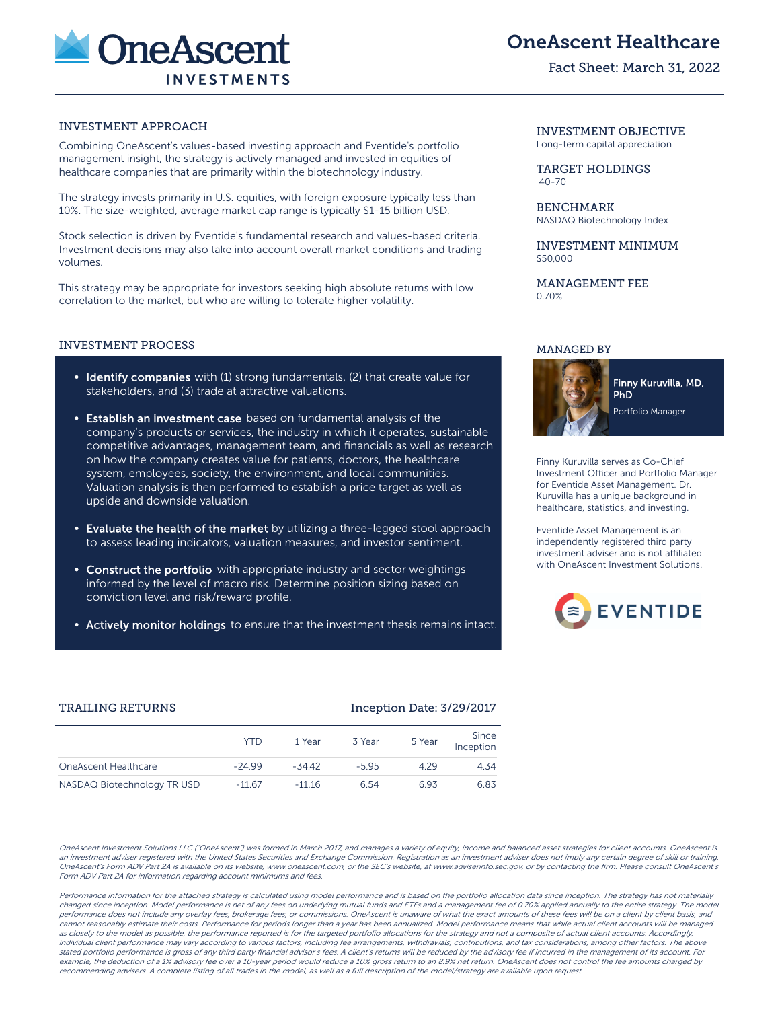

# OneAscent Healthcare

### Fact Sheet: March 31, 2022

### INVESTMENT APPROACH

Combining OneAscent's values-based investing approach and Eventide's portfolio management insight, the strategy is actively managed and invested in equities of healthcare companies that are primarily within the biotechnology industry.

The strategy invests primarily in U.S. equities, with foreign exposure typically less than 10%. The size-weighted, average market cap range is typically \$1-15 billion USD.

Stock selection is driven by Eventide's fundamental research and values-based criteria. Investment decisions may also take into account overall market conditions and trading volumes.

This strategy may be appropriate for investors seeking high absolute returns with low correlation to the market, but who are willing to tolerate higher volatility.

### INVESTMENT PROCESS

- Identify companies with (1) strong fundamentals, (2) that create value for stakeholders, and (3) trade at attractive valuations.
- **Establish an investment case** based on fundamental analysis of the company's products or services, the industry in which it operates, sustainable competitive advantages, management team, and financials as well as research on how the company creates value for patients, doctors, the healthcare system, employees, society, the environment, and local communities. Valuation analysis is then performed to establish a price target as well as upside and downside valuation.
- Evaluate the health of the market by utilizing a three-legged stool approach to assess leading indicators, valuation measures, and investor sentiment.
- Construct the portfolio with appropriate industry and sector weightings informed by the level of macro risk. Determine position sizing based on conviction level and risk/reward profile.
- Actively monitor holdings to ensure that the investment thesis remains intact.

### INVESTMENT OBJECTIVE Long-term capital appreciation

TARGET HOLDINGS 40-70

BENCHMARK NASDAQ Biotechnology Index

INVESTMENT MINIMUM \$50,000

MANAGEMENT FEE 0.70%

### MANAGED BY



Finny Kuruvilla serves as Co-Chief Investment Officer and Portfolio Manager for Eventide Asset Management. Dr. Kuruvilla has a unique background in healthcare, statistics, and investing.

Eventide Asset Management is an independently registered third party investment adviser and is not affiliated with OneAscent Investment Solutions.



### TRAILING RETURNS **Inception Date: 3/29/2017**

|                             | <b>YTD</b> | 1 Year   | 3 Year | 5 Year | Since<br>Inception |
|-----------------------------|------------|----------|--------|--------|--------------------|
| OneAscent Healthcare        | $-24.99$   | $-34.42$ | -595   | 429    | 4.34               |
| NASDAQ Biotechnology TR USD | $-1167$    | $-11.16$ | 6.54   | 693    | 6.83               |

OneAscent Investment Solutions LLC ("OneAscent") was formed in March 2017, and manages a variety of equity, income and balanced asset strategies for client accounts. OneAscent is an investment adviser registered with the United States Securities and Exchange Commission. Registration as an investment adviser does not imply any certain degree of skill or training. OneAscent's Form ADV Part 2A is available on its website, www.oneascent.com, or the SEC's website, at www.adviserinfo.sec.gov, or by contacting the firm. Please consult OneAscent's Form ADV Part 2A for information regarding account minimums and fees.

Performance information for the attached strategy is calculated using model performance and is based on the portfolio allocation data since inception. The strategy has not materially changed since inception. Model performance is net of any fees on underlying mutual funds and ETFs and a management fee of 0.70% applied annually to the entire strategy. The model performance does not include any overlay fees, brokerage fees, or commissions. OneAscent is unaware of what the exact amounts of these fees will be on a client by client basis, and cannot reasonably estimate their costs. Performance for periods longer than a year has been annualized. Model performance means that while actual client accounts will be managed as closely to the model as possible, the performance reported is for the targeted portfolio allocations for the strategy and not a composite of actual client accounts. Accordingly, individual client performance may vary according to various factors, including fee arrangements, withdrawals, contributions, and tax considerations, among other factors. The above stated portfolio performance is gross of any third party financial advisor's fees. A client's returns will be reduced by the advisory fee if incurred in the management of its account. For example, the deduction of a 1% advisory fee over a 10-year period would reduce a 10% gross return to an 8.9% net return. OneAscent does not control the fee amounts charged by recommending advisers. A complete listing of all trades in the model, as well as a full description of the model/strategy are available upon request.